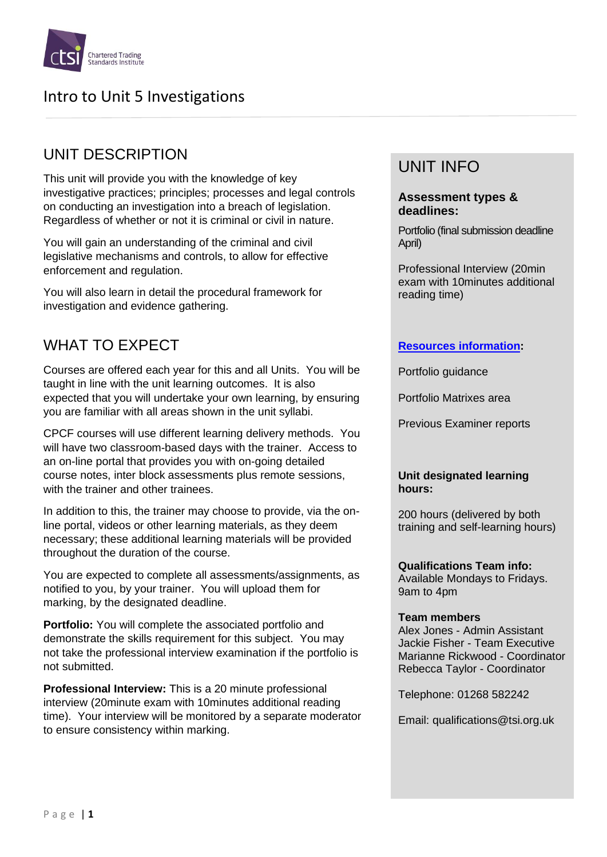

# UNIT DESCRIPTION

This unit will provide you with the knowledge of key investigative practices; principles; processes and legal controls on conducting an investigation into a breach of legislation. Regardless of whether or not it is criminal or civil in nature.

You will gain an understanding of the criminal and civil legislative mechanisms and controls, to allow for effective enforcement and regulation.

You will also learn in detail the procedural framework for investigation and evidence gathering.

# WHAT TO EXPECT

Courses are offered each year for this and all Units. You will be taught in line with the unit learning outcomes. It is also expected that you will undertake your own learning, by ensuring you are familiar with all areas shown in the unit syllabi.

CPCF courses will use different learning delivery methods. You will have two classroom-based days with the trainer. Access to an on-line portal that provides you with on-going detailed course notes, inter block assessments plus remote sessions, with the trainer and other trainees.

In addition to this, the trainer may choose to provide, via the online portal, videos or other learning materials, as they deem necessary; these additional learning materials will be provided throughout the duration of the course.

You are expected to complete all assessments/assignments, as notified to you, by your trainer. You will upload them for marking, by the designated deadline.

**Portfolio:** You will complete the associated portfolio and demonstrate the skills requirement for this subject. You may not take the professional interview examination if the portfolio is not submitted.

**Professional Interview:** This is a 20 minute professional interview (20minute exam with 10minutes additional reading time). Your interview will be monitored by a separate moderator to ensure consistency within marking.

# UNIT INFO

#### **Assessment types & deadlines:**

Portfolio (final submission deadline April)

Professional Interview (20min exam with 10minutes additional reading time)

#### **[Resources information:](https://www.tradingstandards.uk/practitioners/training-development/qualifications-resources)**

Portfolio guidance

Portfolio Matrixes area

Previous Examiner reports

#### **Unit designated learning hours:**

200 hours (delivered by both training and self-learning hours)

**Qualifications Team info:** Available Mondays to Fridays. 9am to 4pm

#### **Team members**

Alex Jones - Admin Assistant Jackie Fisher - Team Executive Marianne Rickwood - Coordinator Rebecca Taylor - Coordinator

Telephone: 01268 582242

Email: qualifications@tsi.org.uk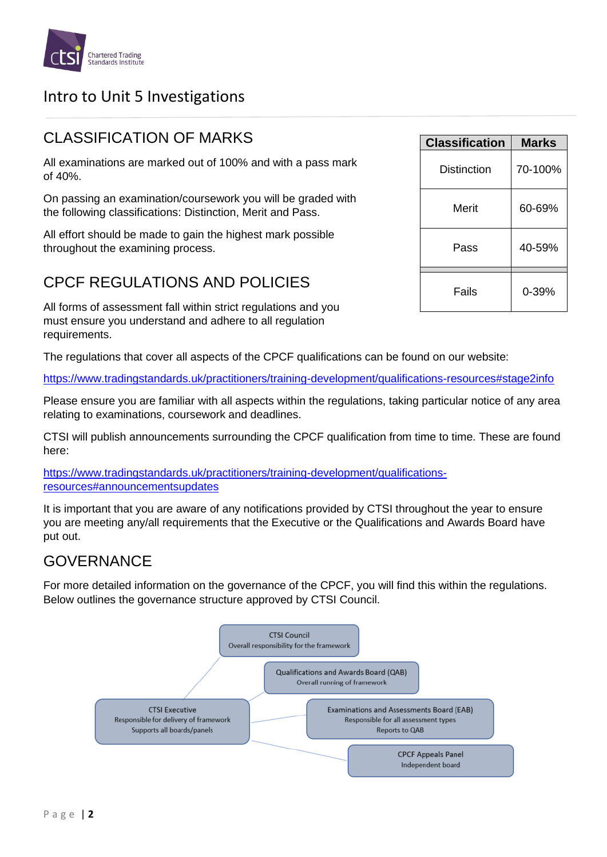

### CLASSIFICATION OF MARKS

All examinations are marked out of 100% and with a pass mark of 40%.

On passing an examination/coursework you will be graded with the following classifications: Distinction, Merit and Pass.

All effort should be made to gain the highest mark possible throughout the examining process.

## CPCF REGULATIONS AND POLICIES

All forms of assessment fall within strict regulations and you must ensure you understand and adhere to all regulation requirements.

The regulations that cover all aspects of the CPCF qualifications can be found on our website:

<https://www.tradingstandards.uk/practitioners/training-development/qualifications-resources#stage2info>

Please ensure you are familiar with all aspects within the regulations, taking particular notice of any area relating to examinations, coursework and deadlines.

CTSI will publish announcements surrounding the CPCF qualification from time to time. These are found here:

[https://www.tradingstandards.uk/practitioners/training-development/qualifications](https://www.tradingstandards.uk/practitioners/training-development/qualifications-resources#announcementsupdates)[resources#announcementsupdates](https://www.tradingstandards.uk/practitioners/training-development/qualifications-resources#announcementsupdates)

It is important that you are aware of any notifications provided by CTSI throughout the year to ensure you are meeting any/all requirements that the Executive or the Qualifications and Awards Board have put out.

### **GOVERNANCE**

For more detailed information on the governance of the CPCF, you will find this within the regulations. Below outlines the governance structure approved by CTSI Council.



| <b>Classification</b> | <b>Marks</b> |
|-----------------------|--------------|
| Distinction           | 70-100%      |
| Merit                 | 60-69%       |
| Pass                  | 40-59%       |
| Fails                 | 0-39%        |
|                       |              |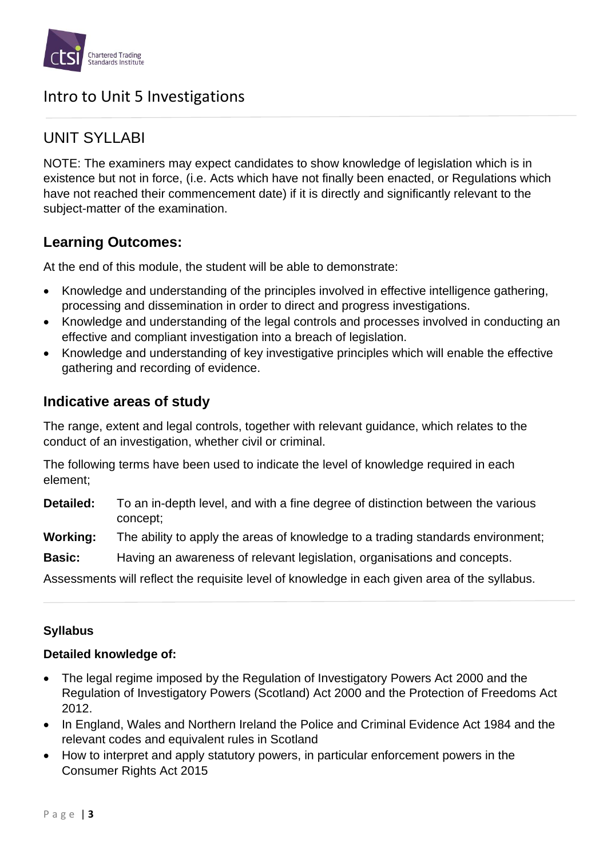

## UNIT SYLLABI

NOTE: The examiners may expect candidates to show knowledge of legislation which is in existence but not in force, (i.e. Acts which have not finally been enacted, or Regulations which have not reached their commencement date) if it is directly and significantly relevant to the subject-matter of the examination.

### **Learning Outcomes:**

At the end of this module, the student will be able to demonstrate:

- Knowledge and understanding of the principles involved in effective intelligence gathering, processing and dissemination in order to direct and progress investigations.
- Knowledge and understanding of the legal controls and processes involved in conducting an effective and compliant investigation into a breach of legislation.
- Knowledge and understanding of key investigative principles which will enable the effective gathering and recording of evidence.

### **Indicative areas of study**

The range, extent and legal controls, together with relevant guidance, which relates to the conduct of an investigation, whether civil or criminal.

The following terms have been used to indicate the level of knowledge required in each element;

**Detailed:** To an in-depth level, and with a fine degree of distinction between the various concept;

**Working:** The ability to apply the areas of knowledge to a trading standards environment;

**Basic:** Having an awareness of relevant legislation, organisations and concepts.

Assessments will reflect the requisite level of knowledge in each given area of the syllabus.

### **Syllabus**

### **Detailed knowledge of:**

- The legal regime imposed by the Regulation of Investigatory Powers Act 2000 and the Regulation of Investigatory Powers (Scotland) Act 2000 and the Protection of Freedoms Act 2012.
- In England, Wales and Northern Ireland the Police and Criminal Evidence Act 1984 and the relevant codes and equivalent rules in Scotland
- How to interpret and apply statutory powers, in particular enforcement powers in the Consumer Rights Act 2015